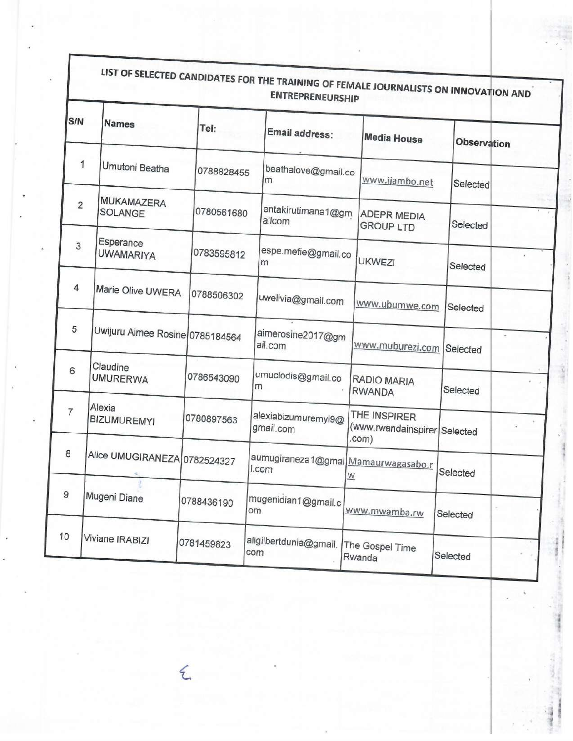| S/N              | <b>Names</b>                    | Tel:       | Email address:                               |               | <b>Media House</b>                           | <b>Observation</b> |  |
|------------------|---------------------------------|------------|----------------------------------------------|---------------|----------------------------------------------|--------------------|--|
| 1                | Umutoni Beatha                  | 0788828455 | beathalove@gmail.co<br>m                     |               | www.ijambo.net                               | Selected           |  |
| $\overline{2}$   | <b>MUKAMAZERA</b><br>SOLANGE    | 0780561680 | entakirutimana1@gm<br>ailcom                 |               | <b>ADEPR MEDIA</b><br><b>GROUP LTD</b>       | Selected           |  |
| 3                | Esperance<br><b>UWAMARIYA</b>   | 0783595812 | espe.mefie@gmail.co<br>m                     | <b>UKWEZI</b> |                                              | Selected           |  |
| 4                | Marie Olive UWERA               | 0788506302 | uwelivia@gmail.com                           |               | www.ubumwe.com                               | Selected           |  |
| 5                | Uwijuru Aimee Rosine 0785184564 |            | aimerosine2017@gm<br>ail.com                 |               | www.muburezi.com                             | Selected           |  |
| 6                | Claudine<br><b>UMURERWA</b>     | 0786543090 | umuclodis@gmail.co<br>m                      | <b>RWANDA</b> | <b>RADIO MARIA</b>                           | Selected           |  |
| $\overline{7}$   | Alexia<br><b>BIZUMUREMYI</b>    | 0780897563 | alexiabizumuremyi9@<br>gmail.com             | .com)         | THE INSPIRER<br>(www.rwandainspirer Selected |                    |  |
| 8                | Alice UMUGIRANEZA 0782524327    |            | aumugiraneza1@gmai Mamaurwagasabo.r<br>I.com | W             |                                              | Selected           |  |
| $\boldsymbol{9}$ | Mugeni Diane                    | 0788436190 | mugenidian1@gmail.c<br>om                    |               | www.mwamba.rw                                | Selected           |  |
| 10               | Viviane IRABIZI                 | 0781459823 | aligilbertdunia@gmail.<br>com                | Rwanda        | The Gospel Time                              | Selected           |  |

*(* 

 $\blacksquare$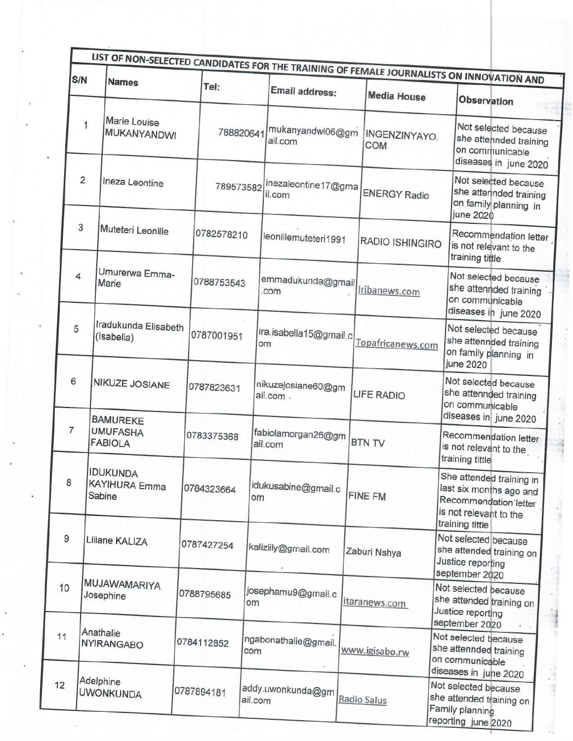| S/N                                     |  | LIST OF NON-SELECTED CANDIDATES FOR THE TRAINING OF FEMALE JOURNALISTS ON INNOVATION AND<br><b>Names</b> |            | Tel:       |                               |                                                             |                        |                    |                                                                                            |                                                                                                                           |
|-----------------------------------------|--|----------------------------------------------------------------------------------------------------------|------------|------------|-------------------------------|-------------------------------------------------------------|------------------------|--------------------|--------------------------------------------------------------------------------------------|---------------------------------------------------------------------------------------------------------------------------|
|                                         |  |                                                                                                          |            |            |                               | Email address:                                              |                        | <b>Media House</b> |                                                                                            | Observation                                                                                                               |
| Marie Louise<br>1<br><b>MUKANYANDWI</b> |  |                                                                                                          | 788820641  |            | mukanyandwi06@gm<br>ail.com   |                                                             | INGENZINYAYO.<br>COM   |                    | Not selected because<br>she attehnded training<br>on communicable<br>diseases in june 2020 |                                                                                                                           |
| 2<br>Ineza Leontine                     |  |                                                                                                          | 789573582  |            | inezaleontine17@gma<br>il.com |                                                             | <b>ENERGY Radio</b>    |                    | Not selected because<br>she atterinded training<br>on family planning in<br>june 2020      |                                                                                                                           |
| 3<br>Muteteri Leonille                  |  |                                                                                                          | 0782578210 |            | leonillemuteteri1991          |                                                             | <b>RADIO ISHINGIRO</b> |                    | Recommendation letter<br>is not relevant to the<br>training tittle                         |                                                                                                                           |
| $\overline{4}$                          |  | Umurerwa Emma-<br>Marie                                                                                  |            | 0788753543 |                               | emmadukunda@gmail <b>oogmail</b> ticanews.com               |                        |                    |                                                                                            | Not selected because<br>she attennded training<br>on communicable<br>diseases in june 2020                                |
| 5                                       |  | Iradukunda Elisabeth<br>(Isabella)                                                                       |            | 0787001951 |                               | ira.isabella15@gmail.c<br>om                                |                        | Topafricanews.com  |                                                                                            | Not selected because<br>she attennded training<br>on family planning in<br>june 2020                                      |
| 6                                       |  | <b>NIKUZE JOSIANE</b><br><b>BAMUREKE</b>                                                                 |            | 0787823631 |                               | nikuzejosiane60@gm<br>ail.com.                              |                        | <b>LIFE RADIO</b>  |                                                                                            | Not selected because<br>she attennded training<br>on communicable<br>diseases in june 2020                                |
| 7                                       |  | <b>UMUFASHA</b><br><b>FABIOLA</b>                                                                        |            | 0783375368 |                               | fabiolamorgan26@gm<br>ail.com                               |                        | <b>BTN TV</b>      |                                                                                            | Recommendation letter<br>is not relevant to the<br>training tittle                                                        |
| 8                                       |  | <b>IDUKUNDA</b><br><b>KAYIHURA Emma</b><br>Sabine                                                        |            | 0784323664 | om                            | idukusabine@gmail.c                                         |                        | <b>FINE FM</b>     |                                                                                            | She attended training in<br>last six months ago and<br>Recommendation letter<br>is not relevant to the<br>training tittle |
|                                         |  | Liliane KALIZA                                                                                           |            | 0787427254 |                               | kalizlily@gmail.com                                         |                        | Zaburi Nshya       |                                                                                            | Not selected because<br>she attended training on<br>Justice reporting<br>september 2020                                   |
|                                         |  | MUJAWAMARIYA<br>Josephine                                                                                |            | 0788795685 | om                            | josephamu9@gmail.c                                          |                        | itaranews.com      | Not selected because<br>she attended training on<br>Justice reporting<br>september 2020    |                                                                                                                           |
|                                         |  | Anathalie<br><b>NYIRANGABO</b>                                                                           |            | 0784112852 | com                           | ngabonathalie@gmail.                                        |                        | www.igisabo.rw     | Not selected because<br>she attennded training<br>on communicable<br>diseases in juhe 2020 |                                                                                                                           |
|                                         |  | Adelphine<br><b>UWONKUNDA</b>                                                                            |            | 0787894181 |                               | addy.uwonkunda@gm $\Big _{\hbox{\scriptsize{Radio Salus}}}$ |                        |                    | Not selected because<br>she attended training on<br>Family planning<br>reporting june 2020 |                                                                                                                           |

4

 $\tilde{u}$ 

 $\blacksquare$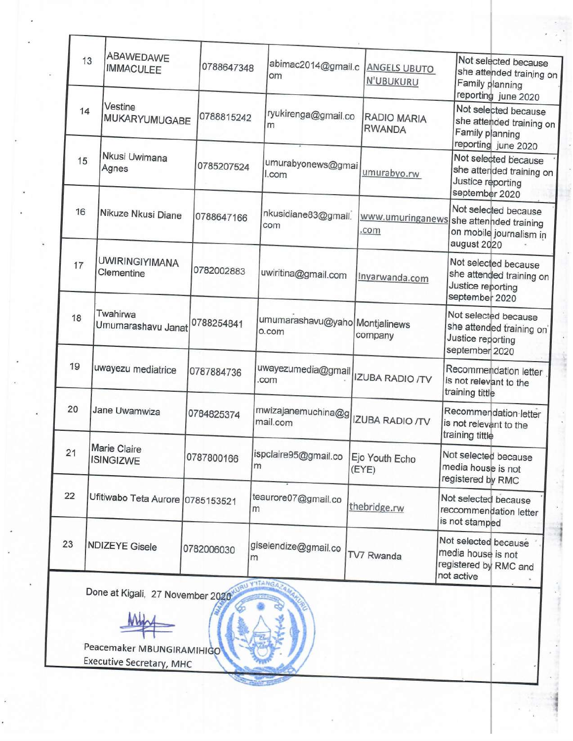| 13 | ABAWEDAWE<br><b>IMMACULEE</b>                                | 0788647348 | abimac2014@gmail.c<br>om                | <b>ANGELS UBUTO</b><br><b>N'UBUKURU</b> | Not selected because<br>she attended training on<br>Family planning<br>reporting june 2020 |
|----|--------------------------------------------------------------|------------|-----------------------------------------|-----------------------------------------|--------------------------------------------------------------------------------------------|
| 14 | Vestine<br>MUKARYUMUGABE                                     | 0788815242 | ryukirenga@gmail.co<br>m                | <b>RADIO MARIA</b><br><b>RWANDA</b>     | Not selected because<br>she attended training on<br>Family planning<br>reporting june 2020 |
| 15 | Nkusi Uwimana<br>Agnes                                       | 0785207524 | umurabyonews@gmai<br>l.com              | umurabyo.rw                             | Not selected because<br>she attended training on<br>Justice reporting<br>september 2020    |
| 16 | Nikuze Nkusi Diane                                           | 0788647166 | nkusidiane83@gmail.<br>com              | www.umuringanews<br>.com                | Not selected because<br>she attenhded training<br>on mobile journalism in<br>august 2020   |
| 17 | <b>UWIRINGIYIMANA</b><br>Clementine                          | 0782002883 | uwiritina@gmail.com                     | Inyarwanda.com                          | Not selected because<br>she attended training on<br>Justice reporting<br>september 2020    |
| 18 | Twahirwa<br>Umumarashavu Janat                               | 0788254841 | umumarashavu@yaho Montjalinews<br>o.com | company                                 | Not selected because<br>she attended training on<br>Justice reporting<br>september 2020    |
| 19 | uwayezu mediatrice                                           | 0787884736 | uwayezumedia@gmail<br>com               | <b>IZUBA RADIO /TV</b>                  | Recommendation letter<br>is not relevant to the<br>training tittle                         |
| 20 | Jane Uwamwiza                                                | 0784825374 | mwizajanemuchina@g<br>mail.com          | <b>IZUBA RADIO /TV</b>                  | Recommendation letter<br>is not relevant to the<br>training tittle                         |
| 21 | Marie Claire<br><b>ISINGIZWE</b>                             | 0787800166 | ispclaire95@gmail.co<br>m               | Ejo Youth Echo<br>(EYE)                 | Not selected because<br>media house is not<br>registered by RMC                            |
| 22 | Ufitiwabo Teta Aurore   0785153521                           |            | teaurore07@gmail.co<br>m                | thebridge.rw                            | Not selected because<br>reccommendation letter<br>is not stamped                           |
| 23 | <b>NDIZEYE Gisele</b>                                        | 0782006030 | giselendize@gmail.co<br>m               | TV7 Rwanda                              | Not selected because<br>media house is not<br>registered by RMC and<br>not active          |
|    | Done at Kigali, 27 November 2020                             |            | <b>Y'ITANG</b>                          |                                         |                                                                                            |
|    | Peacemaker MBUNGIRAMIHIGO<br><b>Executive Secretary, MHC</b> |            |                                         |                                         |                                                                                            |

Г

Τ